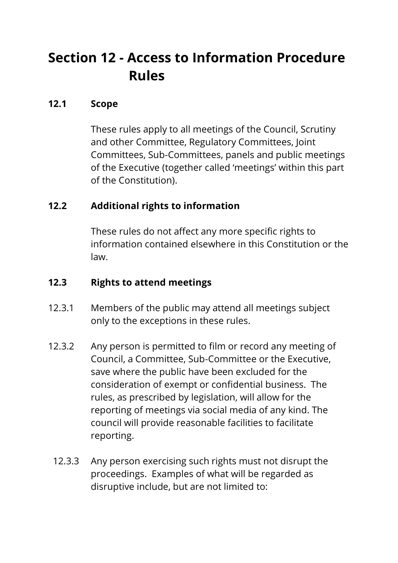# **Section 12 - Access to Information Procedure Rules**

#### **12.1 Scope**

These rules apply to all meetings of the Council, Scrutiny and other Committee, Regulatory Committees, Joint Committees, Sub-Committees, panels and public meetings of the Executive (together called 'meetings' within this part of the Constitution).

## **12.2 Additional rights to information**

These rules do not affect any more specific rights to information contained elsewhere in this Constitution or the law.

#### **12.3 Rights to attend meetings**

- 12.3.1 Members of the public may attend all meetings subject only to the exceptions in these rules.
- 12.3.2 Any person is permitted to film or record any meeting of Council, a Committee, Sub-Committee or the Executive, save where the public have been excluded for the consideration of exempt or confidential business. The rules, as prescribed by legislation, will allow for the reporting of meetings via social media of any kind. The council will provide reasonable facilities to facilitate reporting.
	- 12.3.3 Any person exercising such rights must not disrupt the proceedings. Examples of what will be regarded as disruptive include, but are not limited to: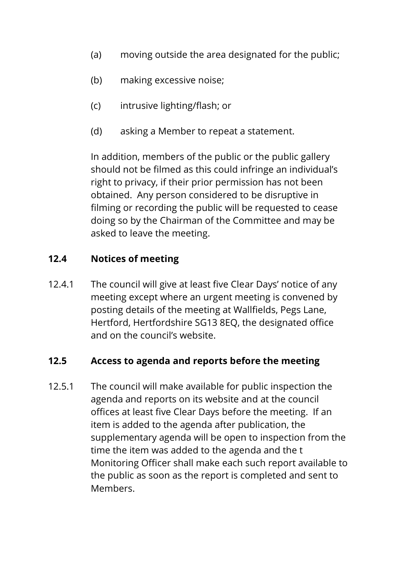- (a) moving outside the area designated for the public;
- (b) making excessive noise;
- (c) intrusive lighting/flash; or
- (d) asking a Member to repeat a statement.

In addition, members of the public or the public gallery should not be filmed as this could infringe an individual's right to privacy, if their prior permission has not been obtained. Any person considered to be disruptive in filming or recording the public will be requested to cease doing so by the Chairman of the Committee and may be asked to leave the meeting.

#### **12.4 Notices of meeting**

12.4.1 The council will give at least five Clear Days' notice of any meeting except where an urgent meeting is convened by posting details of the meeting at Wallfields, Pegs Lane, Hertford, Hertfordshire SG13 8EQ, the designated office and on the council's website.

#### **12.5 Access to agenda and reports before the meeting**

12.5.1 The council will make available for public inspection the agenda and reports on its website and at the council offices at least five Clear Days before the meeting. If an item is added to the agenda after publication, the supplementary agenda will be open to inspection from the time the item was added to the agenda and the t Monitoring Officer shall make each such report available to the public as soon as the report is completed and sent to Members.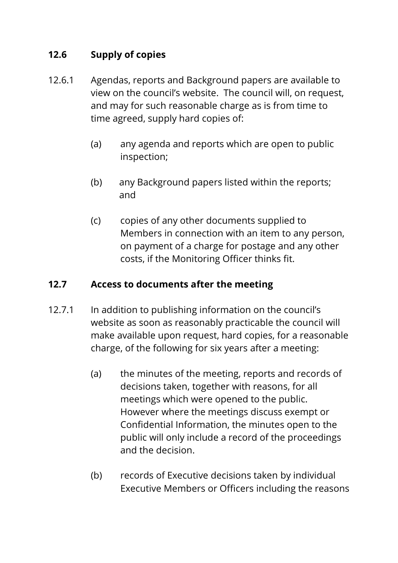## **12.6 Supply of copies**

- 12.6.1 Agendas, reports and Background papers are available to view on the council's website. The council will, on request, and may for such reasonable charge as is from time to time agreed, supply hard copies of:
	- (a) any agenda and reports which are open to public inspection;
	- (b) any Background papers listed within the reports; and
	- (c) copies of any other documents supplied to Members in connection with an item to any person, on payment of a charge for postage and any other costs, if the Monitoring Officer thinks fit.

## **12.7 Access to documents after the meeting**

- 12.7.1 In addition to publishing information on the council's website as soon as reasonably practicable the council will make available upon request, hard copies, for a reasonable charge, of the following for six years after a meeting:
	- (a) the minutes of the meeting, reports and records of decisions taken, together with reasons, for all meetings which were opened to the public. However where the meetings discuss exempt or Confidential Information, the minutes open to the public will only include a record of the proceedings and the decision.
	- (b) records of Executive decisions taken by individual Executive Members or Officers including the reasons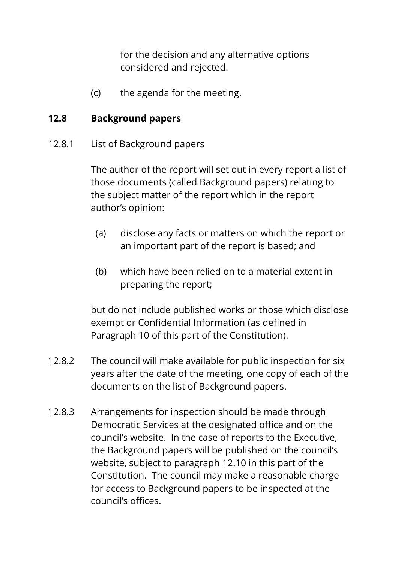for the decision and any alternative options considered and rejected.

(c) the agenda for the meeting.

#### **12.8 Background papers**

12.8.1 List of Background papers

The author of the report will set out in every report a list of those documents (called Background papers) relating to the subject matter of the report which in the report author's opinion:

- (a) disclose any facts or matters on which the report or an important part of the report is based; and
- (b) which have been relied on to a material extent in preparing the report;

but do not include published works or those which disclose exempt or Confidential Information (as defined in Paragraph 10 of this part of the Constitution).

- 12.8.2 The council will make available for public inspection for six years after the date of the meeting, one copy of each of the documents on the list of Background papers.
- 12.8.3 Arrangements for inspection should be made through Democratic Services at the designated office and on the council's website. In the case of reports to the Executive, the Background papers will be published on the council's website, subject to paragraph 12.10 in this part of the Constitution. The council may make a reasonable charge for access to Background papers to be inspected at the council's offices.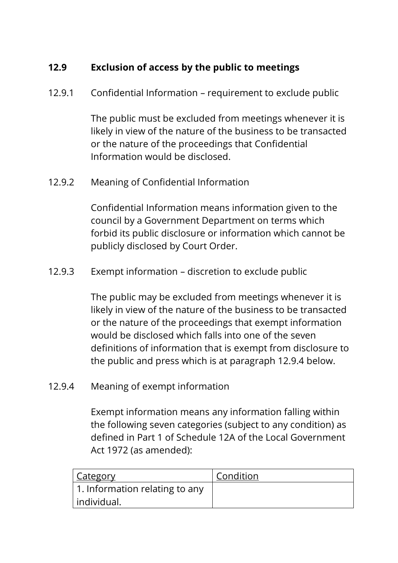# **12.9 Exclusion of access by the public to meetings**

12.9.1 Confidential Information – requirement to exclude public

The public must be excluded from meetings whenever it is likely in view of the nature of the business to be transacted or the nature of the proceedings that Confidential Information would be disclosed.

12.9.2 Meaning of Confidential Information

Confidential Information means information given to the council by a Government Department on terms which forbid its public disclosure or information which cannot be publicly disclosed by Court Order.

12.9.3 Exempt information – discretion to exclude public

The public may be excluded from meetings whenever it is likely in view of the nature of the business to be transacted or the nature of the proceedings that exempt information would be disclosed which falls into one of the seven definitions of information that is exempt from disclosure to the public and press which is at paragraph 12.9.4 below.

12.9.4 Meaning of exempt information

Exempt information means any information falling within the following seven categories (subject to any condition) as defined in Part 1 of Schedule 12A of the Local Government Act 1972 (as amended):

| <u>Category</u>                | Condition |
|--------------------------------|-----------|
| 1. Information relating to any |           |
| individual.                    |           |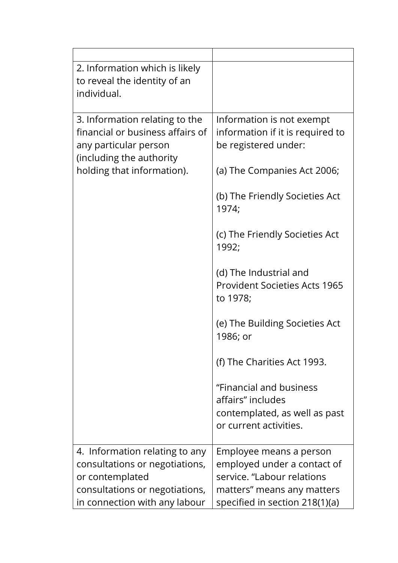| 2. Information which is likely<br>to reveal the identity of an<br>individual.                                                                         |                                                                                                         |
|-------------------------------------------------------------------------------------------------------------------------------------------------------|---------------------------------------------------------------------------------------------------------|
| 3. Information relating to the<br>financial or business affairs of<br>any particular person<br>(including the authority<br>holding that information). | Information is not exempt<br>information if it is required to<br>be registered under:                   |
|                                                                                                                                                       | (a) The Companies Act 2006;                                                                             |
|                                                                                                                                                       | (b) The Friendly Societies Act<br>1974;                                                                 |
|                                                                                                                                                       | (c) The Friendly Societies Act<br>1992;                                                                 |
|                                                                                                                                                       | (d) The Industrial and<br><b>Provident Societies Acts 1965</b><br>to 1978;                              |
|                                                                                                                                                       | (e) The Building Societies Act<br>1986; or                                                              |
|                                                                                                                                                       | (f) The Charities Act 1993.                                                                             |
|                                                                                                                                                       | "Financial and business<br>affairs" includes<br>contemplated, as well as past<br>or current activities. |
| 4. Information relating to any                                                                                                                        | Employee means a person                                                                                 |
| consultations or negotiations,                                                                                                                        | employed under a contact of                                                                             |
| or contemplated                                                                                                                                       | service. "Labour relations                                                                              |
| consultations or negotiations,                                                                                                                        | matters" means any matters                                                                              |
| in connection with any labour                                                                                                                         | specified in section 218(1)(a)                                                                          |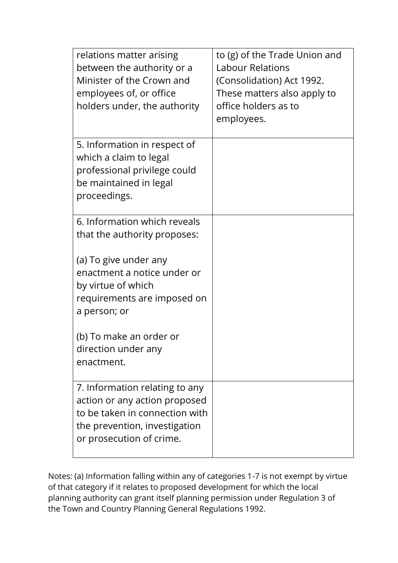| relations matter arising<br>between the authority or a<br>Minister of the Crown and<br>employees of, or office<br>holders under, the authority                 | to (g) of the Trade Union and<br><b>Labour Relations</b><br>(Consolidation) Act 1992.<br>These matters also apply to<br>office holders as to<br>employees. |
|----------------------------------------------------------------------------------------------------------------------------------------------------------------|------------------------------------------------------------------------------------------------------------------------------------------------------------|
| 5. Information in respect of<br>which a claim to legal<br>professional privilege could<br>be maintained in legal<br>proceedings.                               |                                                                                                                                                            |
| 6. Information which reveals<br>that the authority proposes:                                                                                                   |                                                                                                                                                            |
| (a) To give under any<br>enactment a notice under or<br>by virtue of which<br>requirements are imposed on<br>a person; or                                      |                                                                                                                                                            |
| (b) To make an order or<br>direction under any<br>enactment.                                                                                                   |                                                                                                                                                            |
| 7. Information relating to any<br>action or any action proposed<br>to be taken in connection with<br>the prevention, investigation<br>or prosecution of crime. |                                                                                                                                                            |

Notes: (a) Information falling within any of categories 1-7 is not exempt by virtue of that category if it relates to proposed development for which the local planning authority can grant itself planning permission under Regulation 3 of the Town and Country Planning General Regulations 1992.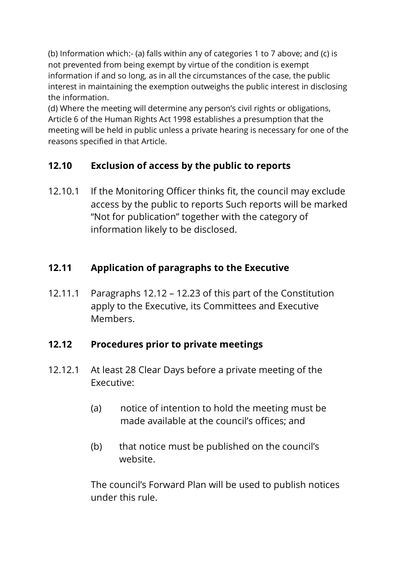(b) Information which:- (a) falls within any of categories 1 to 7 above; and (c) is not prevented from being exempt by virtue of the condition is exempt information if and so long, as in all the circumstances of the case, the public interest in maintaining the exemption outweighs the public interest in disclosing the information.

(d) Where the meeting will determine any person's civil rights or obligations, Article 6 of the Human Rights Act 1998 establishes a presumption that the meeting will be held in public unless a private hearing is necessary for one of the reasons specified in that Article.

# **12.10 Exclusion of access by the public to reports**

12.10.1 If the Monitoring Officer thinks fit, the council may exclude access by the public to reports Such reports will be marked "Not for publication" together with the category of information likely to be disclosed.

# **12.11 Application of paragraphs to the Executive**

12.11.1 Paragraphs 12.12 – 12.23 of this part of the Constitution apply to the Executive, its Committees and Executive Members.

## **12.12 Procedures prior to private meetings**

- 12.12.1 At least 28 Clear Days before a private meeting of the Executive:
	- (a) notice of intention to hold the meeting must be made available at the council's offices; and
	- (b) that notice must be published on the council's website.

The council's Forward Plan will be used to publish notices under this rule.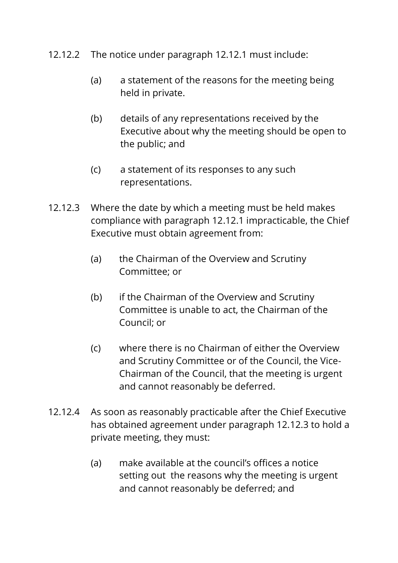- 12.12.2 The notice under paragraph 12.12.1 must include:
	- (a) a statement of the reasons for the meeting being held in private.
	- (b) details of any representations received by the Executive about why the meeting should be open to the public; and
	- (c) a statement of its responses to any such representations.
- 12.12.3 Where the date by which a meeting must be held makes compliance with paragraph 12.12.1 impracticable, the Chief Executive must obtain agreement from:
	- (a) the Chairman of the Overview and Scrutiny Committee; or
	- (b) if the Chairman of the Overview and Scrutiny Committee is unable to act, the Chairman of the Council; or
	- (c) where there is no Chairman of either the Overview and Scrutiny Committee or of the Council, the Vice-Chairman of the Council, that the meeting is urgent and cannot reasonably be deferred.
- 12.12.4 As soon as reasonably practicable after the Chief Executive has obtained agreement under paragraph 12.12.3 to hold a private meeting, they must:
	- (a) make available at the council's offices a notice setting out the reasons why the meeting is urgent and cannot reasonably be deferred; and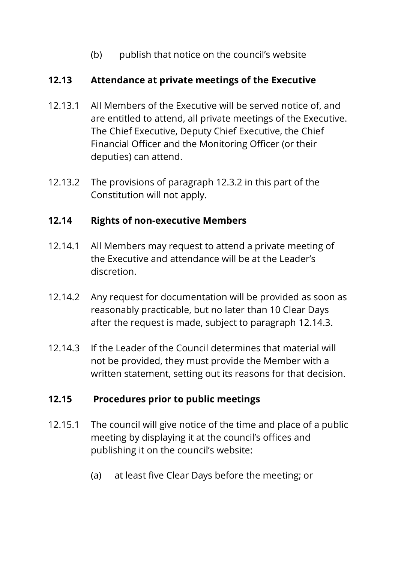(b) publish that notice on the council's website

#### **12.13 Attendance at private meetings of the Executive**

- 12.13.1 All Members of the Executive will be served notice of, and are entitled to attend, all private meetings of the Executive. The Chief Executive, Deputy Chief Executive, the Chief Financial Officer and the Monitoring Officer (or their deputies) can attend.
- 12.13.2 The provisions of paragraph 12.3.2 in this part of the Constitution will not apply.

#### **12.14 Rights of non-executive Members**

- 12.14.1 All Members may request to attend a private meeting of the Executive and attendance will be at the Leader's discretion.
- 12.14.2 Any request for documentation will be provided as soon as reasonably practicable, but no later than 10 Clear Days after the request is made, subject to paragraph 12.14.3.
- 12.14.3 If the Leader of the Council determines that material will not be provided, they must provide the Member with a written statement, setting out its reasons for that decision.

## **12.15 Procedures prior to public meetings**

- 12.15.1 The council will give notice of the time and place of a public meeting by displaying it at the council's offices and publishing it on the council's website:
	- (a) at least five Clear Days before the meeting; or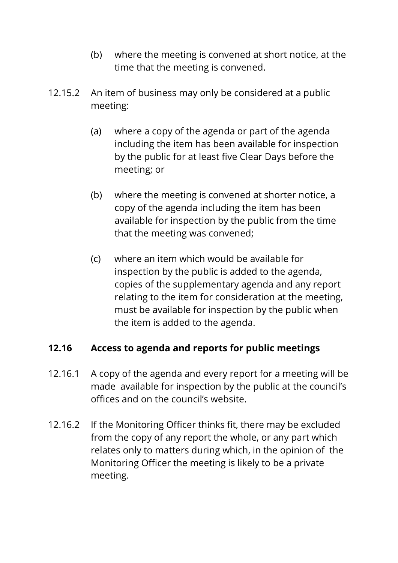- (b) where the meeting is convened at short notice, at the time that the meeting is convened.
- 12.15.2 An item of business may only be considered at a public meeting:
	- (a) where a copy of the agenda or part of the agenda including the item has been available for inspection by the public for at least five Clear Days before the meeting; or
	- (b) where the meeting is convened at shorter notice, a copy of the agenda including the item has been available for inspection by the public from the time that the meeting was convened;
	- (c) where an item which would be available for inspection by the public is added to the agenda, copies of the supplementary agenda and any report relating to the item for consideration at the meeting, must be available for inspection by the public when the item is added to the agenda.

#### **12.16 Access to agenda and reports for public meetings**

- 12.16.1 A copy of the agenda and every report for a meeting will be made available for inspection by the public at the council's offices and on the council's website.
- 12.16.2 If the Monitoring Officer thinks fit, there may be excluded from the copy of any report the whole, or any part which relates only to matters during which, in the opinion of the Monitoring Officer the meeting is likely to be a private meeting.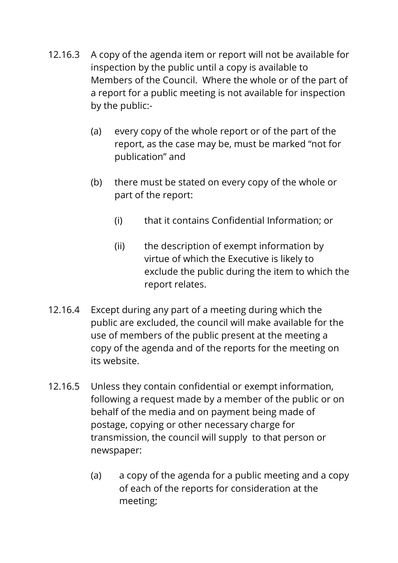- 12.16.3 A copy of the agenda item or report will not be available for inspection by the public until a copy is available to Members of the Council. Where the whole or of the part of a report for a public meeting is not available for inspection by the public:-
	- (a) every copy of the whole report or of the part of the report, as the case may be, must be marked "not for publication" and
	- (b) there must be stated on every copy of the whole or part of the report:
		- (i) that it contains Confidential Information; or
		- (ii) the description of exempt information by virtue of which the Executive is likely to exclude the public during the item to which the report relates.
- 12.16.4 Except during any part of a meeting during which the public are excluded, the council will make available for the use of members of the public present at the meeting a copy of the agenda and of the reports for the meeting on its website.
- 12.16.5 Unless they contain confidential or exempt information, following a request made by a member of the public or on behalf of the media and on payment being made of postage, copying or other necessary charge for transmission, the council will supply to that person or newspaper:
	- (a) a copy of the agenda for a public meeting and a copy of each of the reports for consideration at the meeting;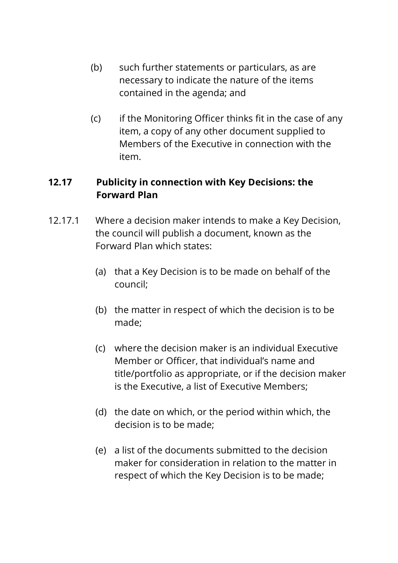- (b) such further statements or particulars, as are necessary to indicate the nature of the items contained in the agenda; and
- (c) if the Monitoring Officer thinks fit in the case of any item, a copy of any other document supplied to Members of the Executive in connection with the item.

## **12.17 Publicity in connection with Key Decisions: the Forward Plan**

- 12.17.1 Where a decision maker intends to make a Key Decision, the council will publish a document, known as the Forward Plan which states:
	- (a) that a Key Decision is to be made on behalf of the council;
	- (b) the matter in respect of which the decision is to be made;
	- (c) where the decision maker is an individual Executive Member or Officer, that individual's name and title/portfolio as appropriate, or if the decision maker is the Executive, a list of Executive Members;
	- (d) the date on which, or the period within which, the decision is to be made;
	- (e) a list of the documents submitted to the decision maker for consideration in relation to the matter in respect of which the Key Decision is to be made;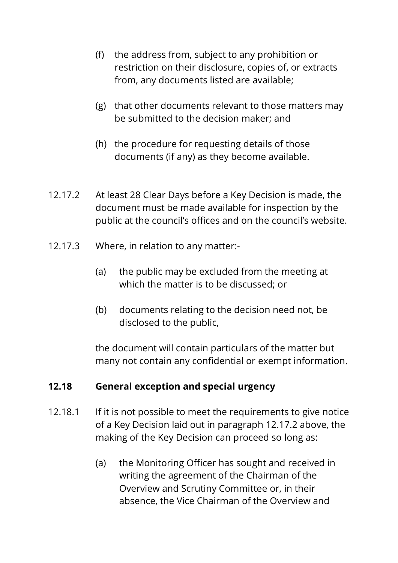- (f) the address from, subject to any prohibition or restriction on their disclosure, copies of, or extracts from, any documents listed are available;
- (g) that other documents relevant to those matters may be submitted to the decision maker; and
- (h) the procedure for requesting details of those documents (if any) as they become available.
- 12.17.2 At least 28 Clear Days before a Key Decision is made, the document must be made available for inspection by the public at the council's offices and on the council's website.
- 12.17.3 Where, in relation to any matter:-
	- (a) the public may be excluded from the meeting at which the matter is to be discussed; or
	- (b) documents relating to the decision need not, be disclosed to the public,

the document will contain particulars of the matter but many not contain any confidential or exempt information.

#### **12.18 General exception and special urgency**

- 12.18.1 If it is not possible to meet the requirements to give notice of a Key Decision laid out in paragraph 12.17.2 above, the making of the Key Decision can proceed so long as:
	- (a) the Monitoring Officer has sought and received in writing the agreement of the Chairman of the Overview and Scrutiny Committee or, in their absence, the Vice Chairman of the Overview and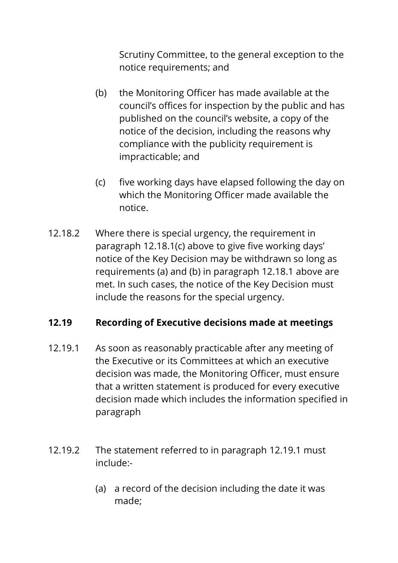Scrutiny Committee, to the general exception to the notice requirements; and

- (b) the Monitoring Officer has made available at the council's offices for inspection by the public and has published on the council's website, a copy of the notice of the decision, including the reasons why compliance with the publicity requirement is impracticable; and
- (c) five working days have elapsed following the day on which the Monitoring Officer made available the notice.
- 12.18.2 Where there is special urgency, the requirement in paragraph 12.18.1(c) above to give five working days' notice of the Key Decision may be withdrawn so long as requirements (a) and (b) in paragraph 12.18.1 above are met. In such cases, the notice of the Key Decision must include the reasons for the special urgency.

## **12.19 Recording of Executive decisions made at meetings**

- 12.19.1 As soon as reasonably practicable after any meeting of the Executive or its Committees at which an executive decision was made, the Monitoring Officer, must ensure that a written statement is produced for every executive decision made which includes the information specified in paragraph
- 12.19.2 The statement referred to in paragraph 12.19.1 must include:-
	- (a) a record of the decision including the date it was made;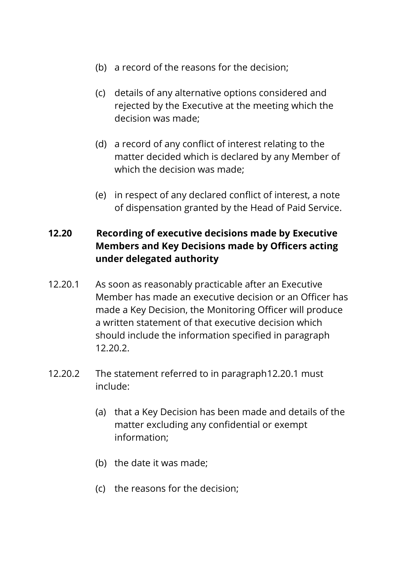- (b) a record of the reasons for the decision;
- (c) details of any alternative options considered and rejected by the Executive at the meeting which the decision was made;
- (d) a record of any conflict of interest relating to the matter decided which is declared by any Member of which the decision was made;
- (e) in respect of any declared conflict of interest, a note of dispensation granted by the Head of Paid Service.

# **12.20 Recording of executive decisions made by Executive Members and Key Decisions made by Officers acting under delegated authority**

- 12.20.1 As soon as reasonably practicable after an Executive Member has made an executive decision or an Officer has made a Key Decision, the Monitoring Officer will produce a written statement of that executive decision which should include the information specified in paragraph 12.20.2.
- 12.20.2 The statement referred to in paragraph12.20.1 must include:
	- (a) that a Key Decision has been made and details of the matter excluding any confidential or exempt information;
	- (b) the date it was made;
	- (c) the reasons for the decision;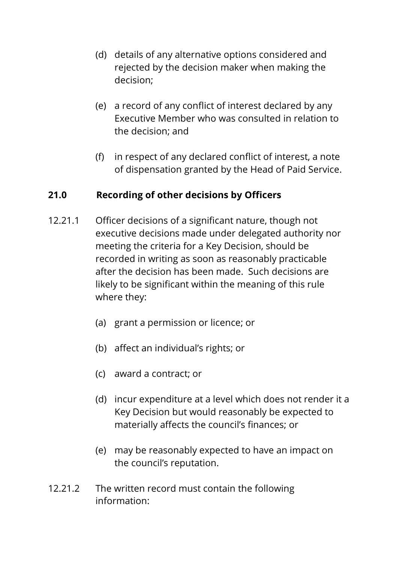- (d) details of any alternative options considered and rejected by the decision maker when making the decision;
- (e) a record of any conflict of interest declared by any Executive Member who was consulted in relation to the decision; and
- (f) in respect of any declared conflict of interest, a note of dispensation granted by the Head of Paid Service.

## **21.0 Recording of other decisions by Officers**

- 12.21.1 Officer decisions of a significant nature, though not executive decisions made under delegated authority nor meeting the criteria for a Key Decision, should be recorded in writing as soon as reasonably practicable after the decision has been made. Such decisions are likely to be significant within the meaning of this rule where they:
	- (a) grant a permission or licence; or
	- (b) affect an individual's rights; or
	- (c) award a contract; or
	- (d) incur expenditure at a level which does not render it a Key Decision but would reasonably be expected to materially affects the council's finances; or
	- (e) may be reasonably expected to have an impact on the council's reputation.
- 12.21.2 The written record must contain the following information: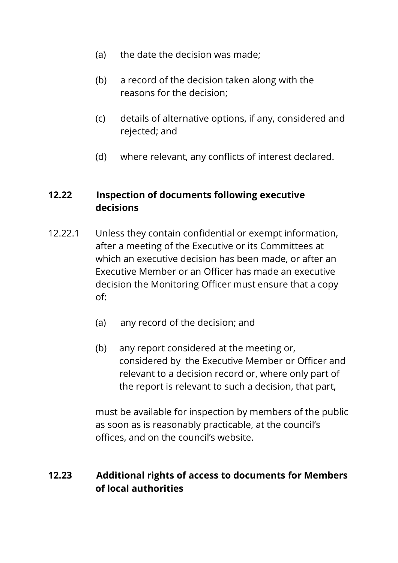- (a) the date the decision was made;
- (b) a record of the decision taken along with the reasons for the decision;
- (c) details of alternative options, if any, considered and rejected; and
- (d) where relevant, any conflicts of interest declared.

#### **12.22 Inspection of documents following executive decisions**

- 12.22.1 Unless they contain confidential or exempt information, after a meeting of the Executive or its Committees at which an executive decision has been made, or after an Executive Member or an Officer has made an executive decision the Monitoring Officer must ensure that a copy of:
	- (a) any record of the decision; and
	- (b) any report considered at the meeting or, considered by the Executive Member or Officer and relevant to a decision record or, where only part of the report is relevant to such a decision, that part,

must be available for inspection by members of the public as soon as is reasonably practicable, at the council's offices, and on the council's website.

#### **12.23 Additional rights of access to documents for Members of local authorities**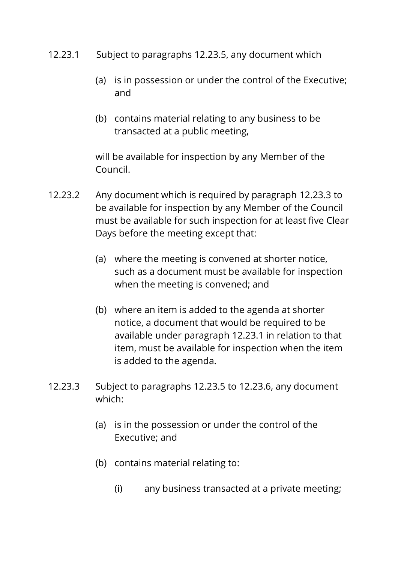- 12.23.1 Subject to paragraphs 12.23.5, any document which
	- (a) is in possession or under the control of the Executive; and
	- (b) contains material relating to any business to be transacted at a public meeting,

will be available for inspection by any Member of the Council.

- 12.23.2 Any document which is required by paragraph 12.23.3 to be available for inspection by any Member of the Council must be available for such inspection for at least five Clear Days before the meeting except that:
	- (a) where the meeting is convened at shorter notice, such as a document must be available for inspection when the meeting is convened; and
	- (b) where an item is added to the agenda at shorter notice, a document that would be required to be available under paragraph 12.23.1 in relation to that item, must be available for inspection when the item is added to the agenda.
- 12.23.3 Subject to paragraphs 12.23.5 to 12.23.6, any document which:
	- (a) is in the possession or under the control of the Executive; and
	- (b) contains material relating to:
		- (i) any business transacted at a private meeting;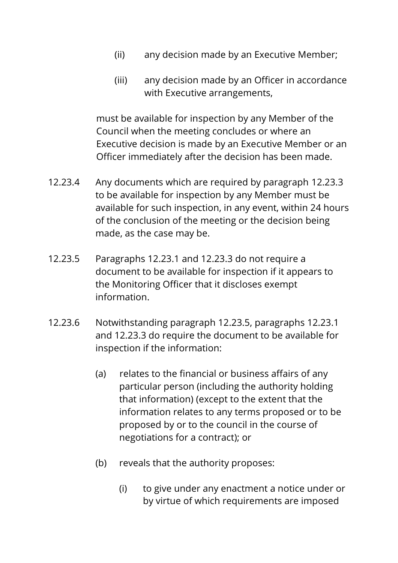- (ii) any decision made by an Executive Member;
- (iii) any decision made by an Officer in accordance with Executive arrangements,

must be available for inspection by any Member of the Council when the meeting concludes or where an Executive decision is made by an Executive Member or an Officer immediately after the decision has been made.

- 12.23.4 Any documents which are required by paragraph 12.23.3 to be available for inspection by any Member must be available for such inspection, in any event, within 24 hours of the conclusion of the meeting or the decision being made, as the case may be.
- 12.23.5 Paragraphs 12.23.1 and 12.23.3 do not require a document to be available for inspection if it appears to the Monitoring Officer that it discloses exempt information.
- 12.23.6 Notwithstanding paragraph 12.23.5, paragraphs 12.23.1 and 12.23.3 do require the document to be available for inspection if the information:
	- (a) relates to the financial or business affairs of any particular person (including the authority holding that information) (except to the extent that the information relates to any terms proposed or to be proposed by or to the council in the course of negotiations for a contract); or
	- (b) reveals that the authority proposes:
		- (i) to give under any enactment a notice under or by virtue of which requirements are imposed